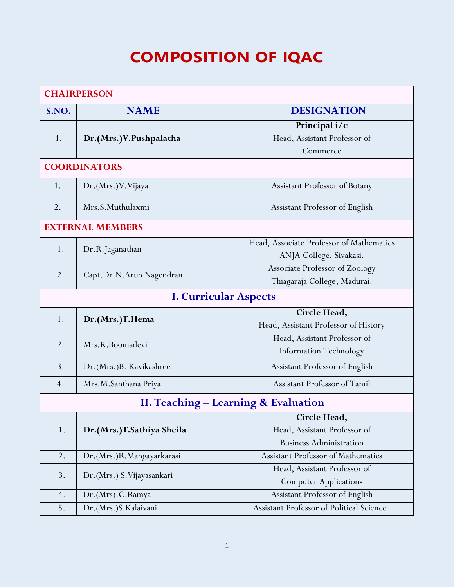## **COMPOSITION OF IQAC**

| <b>CHAIRPERSON</b>                              |                             |                                          |  |  |
|-------------------------------------------------|-----------------------------|------------------------------------------|--|--|
| S.NO.                                           | <b>NAME</b>                 | <b>DESIGNATION</b>                       |  |  |
| 1.                                              | Dr.(Mrs.)V.Pushpalatha      | Principal i/c                            |  |  |
|                                                 |                             | Head, Assistant Professor of             |  |  |
|                                                 |                             | Commerce                                 |  |  |
| <b>COORDINATORS</b>                             |                             |                                          |  |  |
| 1.                                              | Dr. (Mrs.) V. Vijaya        | Assistant Professor of Botany            |  |  |
| 2.                                              | Mrs.S.Muthulaxmi            | Assistant Professor of English           |  |  |
| <b>EXTERNAL MEMBERS</b>                         |                             |                                          |  |  |
|                                                 | Dr.R.Jaganathan             | Head, Associate Professor of Mathematics |  |  |
| 1.                                              |                             | ANJA College, Sivakasi.                  |  |  |
|                                                 | Capt.Dr.N.Arun Nagendran    | Associate Professor of Zoology           |  |  |
| 2.                                              |                             | Thiagaraja College, Madurai.             |  |  |
| <b>I. Curricular Aspects</b>                    |                             |                                          |  |  |
| 1.                                              | Dr.(Mrs.)T.Hema             | Circle Head,                             |  |  |
|                                                 |                             | Head, Assistant Professor of History     |  |  |
| 2.                                              | Mrs.R.Boomadevi             | Head, Assistant Professor of             |  |  |
|                                                 |                             | <b>Information Technology</b>            |  |  |
| 3.                                              | Dr. (Mrs.)B. Kavikashree    | Assistant Professor of English           |  |  |
| 4.                                              | Mrs.M.Santhana Priya        | Assistant Professor of Tamil             |  |  |
| <b>II. Teaching – Learning &amp; Evaluation</b> |                             |                                          |  |  |
|                                                 |                             | Circle Head,                             |  |  |
| 1.                                              | Dr.(Mrs.)T.Sathiya Sheila   | Head, Assistant Professor of             |  |  |
|                                                 |                             | <b>Business Administration</b>           |  |  |
| 2.                                              | Dr.(Mrs.)R.Mangayarkarasi   | Assistant Professor of Mathematics       |  |  |
| 3.                                              | Dr. (Mrs.) S. Vijayasankari | Head, Assistant Professor of             |  |  |
|                                                 |                             | <b>Computer Applications</b>             |  |  |
| 4.                                              | Dr.(Mrs).C.Ramya            | Assistant Professor of English           |  |  |
| 5.                                              | Dr.(Mrs.)S.Kalaivani        | Assistant Professor of Political Science |  |  |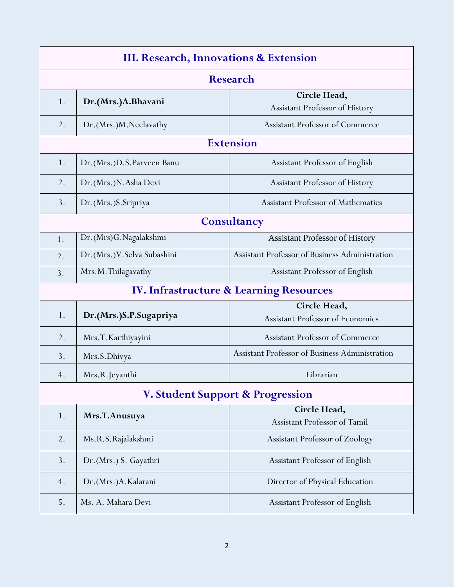| III. Research, Innovations & Extension      |                             |                                                |  |  |
|---------------------------------------------|-----------------------------|------------------------------------------------|--|--|
| <b>Research</b>                             |                             |                                                |  |  |
| 1.                                          | Dr.(Mrs.)A.Bhavani          | Circle Head,                                   |  |  |
|                                             |                             | Assistant Professor of History                 |  |  |
| 2.                                          | Dr.(Mrs.)M.Neelavathy       | <b>Assistant Professor of Commerce</b>         |  |  |
|                                             |                             | <b>Extension</b>                               |  |  |
| 1.                                          | Dr.(Mrs.)D.S.Parveen Banu   | Assistant Professor of English                 |  |  |
| 2.                                          | Dr. (Mrs.) N. Asha Devi     | Assistant Professor of History                 |  |  |
| 3.                                          | Dr. (Mrs.) S. Sripriya      | <b>Assistant Professor of Mathematics</b>      |  |  |
|                                             |                             | Consultancy                                    |  |  |
| 1.                                          | Dr.(Mrs)G.Nagalakshmi       | <b>Assistant Professor of History</b>          |  |  |
| 2.                                          | Dr.(Mrs.) V.Selva Subashini | Assistant Professor of Business Administration |  |  |
| 3.                                          | Mrs.M.Thilagavathy          | Assistant Professor of English                 |  |  |
|                                             |                             | IV. Infrastructure & Learning Resources        |  |  |
|                                             | Dr.(Mrs.)S.P.Sugapriya      | Circle Head,                                   |  |  |
| 1.                                          |                             | <b>Assistant Professor of Economics</b>        |  |  |
| 2.                                          | Mrs.T.Karthiyayini          | <b>Assistant Professor of Commerce</b>         |  |  |
| 3.                                          | Mrs.S.Dhivya                | Assistant Professor of Business Administration |  |  |
| 4.                                          | Mrs.R.Jeyanthi              | Librarian                                      |  |  |
| <b>V. Student Support &amp; Progression</b> |                             |                                                |  |  |
|                                             |                             | Circle Head,                                   |  |  |
| 1.                                          | Mrs.T.Anusuya               | Assistant Professor of Tamil                   |  |  |
| 2.                                          | Ms.R.S.Rajalakshmi          | Assistant Professor of Zoology                 |  |  |
| 3.                                          | Dr. (Mrs.) S. Gayathri      | Assistant Professor of English                 |  |  |
| 4.                                          | Dr. (Mrs.) A. Kalarani      | Director of Physical Education                 |  |  |
| 5.                                          | Ms. A. Mahara Devi          | Assistant Professor of English                 |  |  |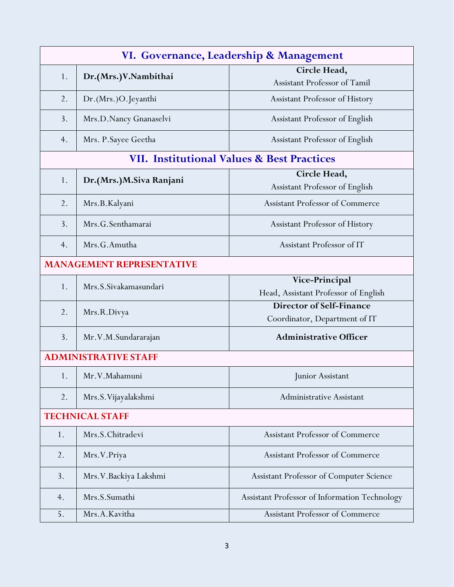| VI. Governance, Leadership & Management |                             |                                                       |  |  |
|-----------------------------------------|-----------------------------|-------------------------------------------------------|--|--|
|                                         | Dr.(Mrs.)V.Nambithai<br>1.  | Circle Head,                                          |  |  |
|                                         |                             | Assistant Professor of Tamil                          |  |  |
| 2.                                      | Dr. (Mrs.)O. Jeyanthi       | Assistant Professor of History                        |  |  |
| 3.                                      | Mrs.D.Nancy Gnanaselvi      | Assistant Professor of English                        |  |  |
| 4.                                      | Mrs. P. Sayee Geetha        | Assistant Professor of English                        |  |  |
|                                         |                             | <b>VII. Institutional Values &amp; Best Practices</b> |  |  |
| 1.                                      | Dr.(Mrs.)M.Siva Ranjani     | Circle Head,                                          |  |  |
|                                         |                             | Assistant Professor of English                        |  |  |
| 2.                                      | Mrs.B.Kalyani               | <b>Assistant Professor of Commerce</b>                |  |  |
| 3.                                      | Mrs.G.Senthamarai           | Assistant Professor of History                        |  |  |
| 4.                                      | Mrs.G.Amutha                | Assistant Professor of IT                             |  |  |
| <b>MANAGEMENT REPRESENTATIVE</b>        |                             |                                                       |  |  |
|                                         | Mrs.S.Sivakamasundari       | Vice-Principal                                        |  |  |
| 1.                                      |                             | Head, Assistant Professor of English                  |  |  |
| 2.                                      |                             | Director of Self-Finance                              |  |  |
|                                         | Mrs.R.Divya                 | Coordinator, Department of IT                         |  |  |
| 3.                                      | Mr.V.M.Sundararajan         | <b>Administrative Officer</b>                         |  |  |
|                                         | <b>ADMINISTRATIVE STAFF</b> |                                                       |  |  |
| 1.                                      | Mr.V.Mahamuni               | Junior Assistant                                      |  |  |
| 2.                                      | Mrs.S.Vijayalakshmi         | Administrative Assistant                              |  |  |
| <b>TECHNICAL STAFF</b>                  |                             |                                                       |  |  |
| 1.                                      | Mrs.S.Chitradevi            | <b>Assistant Professor of Commerce</b>                |  |  |
| 2.                                      | Mrs.V.Priya                 | Assistant Professor of Commerce                       |  |  |
| 3.                                      | Mrs. V. Backiya Lakshmi     | Assistant Professor of Computer Science               |  |  |
| 4.                                      | Mrs.S.Sumathi               | Assistant Professor of Information Technology         |  |  |
| 5.                                      | Mrs.A.Kavitha               | Assistant Professor of Commerce                       |  |  |